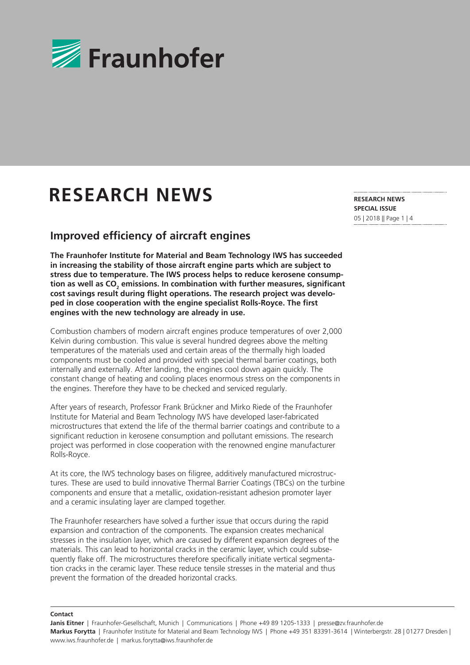

# **RESEARCH NEWS**

# **Improved efficiency of aircraft engines**

**The Fraunhofer Institute for Material and Beam Technology IWS has succeeded in increasing the stability of those aircraft engine parts which are subject to stress due to temperature. The IWS process helps to reduce kerosene consumption as well as CO<sup>2</sup> emissions. In combination with further measures, significant cost savings result during flight operations. The research project was developed in close cooperation with the engine specialist Rolls-Royce. The first engines with the new technology are already in use.**

Combustion chambers of modern aircraft engines produce temperatures of over 2,000 Kelvin during combustion. This value is several hundred degrees above the melting temperatures of the materials used and certain areas of the thermally high loaded components must be cooled and provided with special thermal barrier coatings, both internally and externally. After landing, the engines cool down again quickly. The constant change of heating and cooling places enormous stress on the components in the engines. Therefore they have to be checked and serviced regularly.

After years of research, Professor Frank Brückner and Mirko Riede of the Fraunhofer Institute for Material and Beam Technology IWS have developed laser-fabricated microstructures that extend the life of the thermal barrier coatings and contribute to a significant reduction in kerosene consumption and pollutant emissions. The research project was performed in close cooperation with the renowned engine manufacturer Rolls-Royce.

At its core, the IWS technology bases on filigree, additively manufactured microstructures. These are used to build innovative Thermal Barrier Coatings (TBCs) on the turbine components and ensure that a metallic, oxidation-resistant adhesion promoter layer and a ceramic insulating layer are clamped together.

The Fraunhofer researchers have solved a further issue that occurs during the rapid expansion and contraction of the components. The expansion creates mechanical stresses in the insulation layer, which are caused by different expansion degrees of the materials. This can lead to horizontal cracks in the ceramic layer, which could subsequently flake off. The microstructures therefore specifically initiate vertical segmentation cracks in the ceramic layer. These reduce tensile stresses in the material and thus prevent the formation of the dreaded horizontal cracks.

## **RESEARCH NEWS SPECIAL ISSUE**  05 | 2018 || Page 1 | 4

#### **Contact**

**Janis Eitner** | Fraunhofer-Gesellschaft, Munich | Communications | Phone +49 89 1205-1333 | presse@zv.fraunhofer.de **Markus Forytta** | Fraunhofer Institute for Material and Beam Technology IWS | Phone +49 351 83391-3614 | Winterbergstr. 28 | 01277 Dresden | www.iws.fraunhofer.de | markus.forytta@iws.fraunhofer.de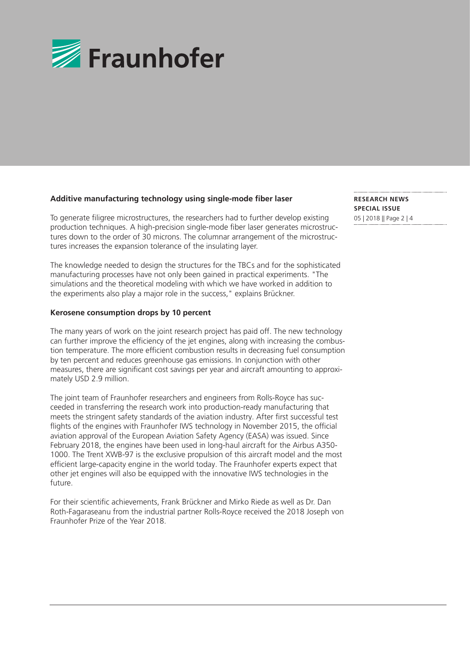

# **Additive manufacturing technology using single-mode fiber laser**

To generate filigree microstructures, the researchers had to further develop existing production techniques. A high-precision single-mode fiber laser generates microstructures down to the order of 30 microns. The columnar arrangement of the microstructures increases the expansion tolerance of the insulating layer.

The knowledge needed to design the structures for the TBCs and for the sophisticated manufacturing processes have not only been gained in practical experiments. "The simulations and the theoretical modeling with which we have worked in addition to the experiments also play a major role in the success," explains Brückner.

### **Kerosene consumption drops by 10 percent**

The many years of work on the joint research project has paid off. The new technology can further improve the efficiency of the jet engines, along with increasing the combustion temperature. The more efficient combustion results in decreasing fuel consumption by ten percent and reduces greenhouse gas emissions. In conjunction with other measures, there are significant cost savings per year and aircraft amounting to approximately USD 2.9 million.

The joint team of Fraunhofer researchers and engineers from Rolls-Royce has succeeded in transferring the research work into production-ready manufacturing that meets the stringent safety standards of the aviation industry. After first successful test flights of the engines with Fraunhofer IWS technology in November 2015, the official aviation approval of the European Aviation Safety Agency (EASA) was issued. Since February 2018, the engines have been used in long-haul aircraft for the Airbus A350- 1000. The Trent XWB-97 is the exclusive propulsion of this aircraft model and the most efficient large-capacity engine in the world today. The Fraunhofer experts expect that other jet engines will also be equipped with the innovative IWS technologies in the future.

For their scientific achievements, Frank Brückner and Mirko Riede as well as Dr. Dan Roth-Fagaraseanu from the industrial partner Rolls-Royce received the 2018 Joseph von Fraunhofer Prize of the Year 2018.

**RESEARCH NEWS SPECIAL ISSUE** 05 | 2018 || Page 2 | 4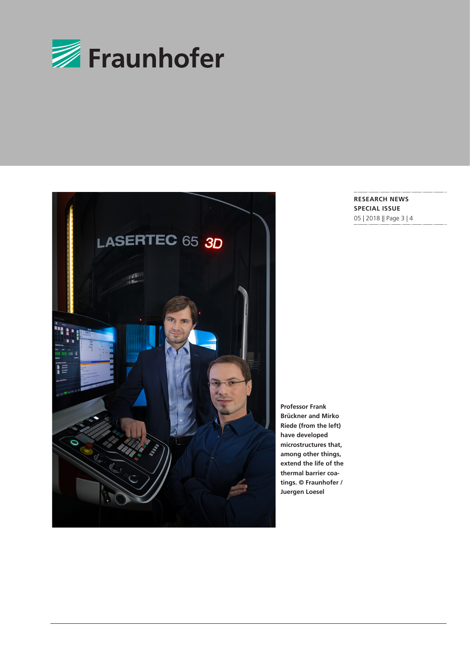



**Professor Frank Brückner and Mirko Riede (from the left) have developed** 

**microstructures that, among other things, extend the life of the thermal barrier coatings. © Fraunhofer /**  **RESEARCH NEWS SPECIAL ISSUE** 05 | 2018 || Page 3 | 4